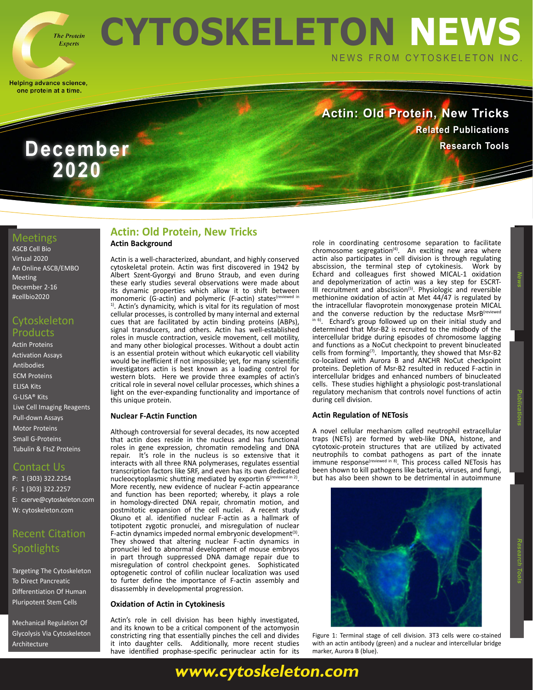

**2020**

# **CYTOSKELETON NEWS** NEWS FROM CYTOSKELETON INC.

Helping advance science, one protein at a time.

## **Actin: Old Protein, New Tricks [Related Publications](https://www.cytoskeleton.com/blog/) December Research Tools**

### Meetings

[ASCB Cell Bio](https://www.ascb.org/cellbiovirtual2020/) [Virtual 2020](https://www.ascb.org/cellbiovirtual2020/) [An Online ASCB/EMBO](https://www.ascb.org/cellbiovirtual2020/)  [Meeting](https://www.ascb.org/cellbiovirtual2020/) [December 2-16](https://www.ascb.org/cellbiovirtual2020/) [#cellbio2020](https://www.ascb.org/cellbiovirtual2020/)

### **Cytoskeleton** Products

[Actin Proteins](https://www.cytoskeleton.com/actin-resources) [Activation Assays](https://www.cytoskeleton.com/activation-assays) [Antibodies](https://www.cytoskeleton.com/antibodies) [ECM Proteins](https://www.cytoskeleton.com/ecm) [ELISA Kits](https://www.cytoskeleton.com/bk150) [G-LISA® Kits](https://www.cytoskeleton.com/kits/glisa-assays) [Live Cell Imaging Reagents](https://www.cytoskeleton.com/live-cell-reagents) [Pull-down Assays](https://www.cytoskeleton.com/kits/pulldown-assays) [Motor Proteins](https://www.cytoskeleton.com/motor-proteins) [Small G-Proteins](https://www.cytoskeleton.com/small-g-proteins) [Tubulin & FtsZ Proteins](https://www.cytoskeleton.com/tubulins)

### Contact Us

P: 1 (303) 322.2254 F: 1 (303) 322.2257 E: cserve@cytoskeleton.com W: [cytoskeleton.com](http://cytoskeleton.com)

### Recent Citation **Spotlights**

[Targeting The Cytoskeleton](https://www.cytoskeleton.com/blog/pancreatic-differentiation-of-human-pluripotent-stem-cells/)  [To Direct Pancreatic](https://www.cytoskeleton.com/blog/pancreatic-differentiation-of-human-pluripotent-stem-cells/)  [Differentiation Of Human](https://www.cytoskeleton.com/blog/pancreatic-differentiation-of-human-pluripotent-stem-cells/)  [Pluripotent Stem Cells](https://www.cytoskeleton.com/blog/pancreatic-differentiation-of-human-pluripotent-stem-cells/)

[Mechanical Regulation Of](https://www.cytoskeleton.com/blog/mechanical-regulation-of-glycolysis-via-cytoskeleton-architecture/)  [Glycolysis Via Cytoskeleton](https://www.cytoskeleton.com/blog/mechanical-regulation-of-glycolysis-via-cytoskeleton-architecture/)  [Architecture](https://www.cytoskeleton.com/blog/mechanical-regulation-of-glycolysis-via-cytoskeleton-architecture/)

### **Actin Background Actin: Old Protein, New Tricks**

Actin is a well-characterized, abundant, and highly conserved cytoskeletal protein. Actin was first discovered in 1942 by Albert Szent-Gyorgyi and Bruno Straub, and even during these early studies several observations were made about its dynamic properties which allow it to shift between monomeric (G-actin) and polymeric (F-actin) states<sup>(reviewed i</sup>n <sup>1)</sup>. Actin's dynamicity, which is vital for its regulation of most cellular processes, is controlled by many internal and external cues that are facilitated by actin binding proteins (ABPs), signal transducers, and others. Actin has well-established roles in muscle contraction, vesicle movement, cell motility, and many other biological processes. Without a doubt actin is an essential protein without which eukaryotic cell viability would be inefficient if not impossible; yet, for many scientific investigators actin is best known as a loading control for western blots. Here we provide three examples of actin's critical role in several novel cellular processes, which shines a light on the ever-expanding functionality and importance of this unique protein.

#### **Nuclear F-Actin Function**

Although controversial for several decades, its now accepted that actin does reside in the nucleus and has functional roles in gene expression, chromatin remodeling and DNA repair. It's role in the nucleus is so extensive that it interacts with all three RNA polymerases, regulates essential transcription factors like SRF, and even has its own dedicated nucleocytoplasmic shutting mediated by exportin 6<sup>(reviewed in 2)</sup>. More recently, new evidence of nuclear F-actin appearance and function has been reported; whereby, it plays a role in homology-directed DNA repair, chromatin motion, and postmitotic expansion of the cell nuclei. A recent study Okuno et al. identified nuclear F-actin as a hallmark of totipotent zygotic pronuclei, and misregulation of nuclear F-actin dynamics impeded normal embryonic development $(3)$ . They showed that altering nuclear F-actin dynamics in pronuclei led to abnormal development of mouse embryos in part through suppressed DNA damage repair due to misregulation of control checkpoint genes. Sophisticated optogenetic control of cofilin nuclear localization was used to furter define the importance of F-actin assembly and disassembly in developmental progression.

### **Oxidation of Actin in Cytokinesis**

Actin's role in cell division has been highly investigated, and its known to be a critical component of the actomyosin constricting ring that essentially pinches the cell and divides it into daughter cells. Additionally, more recent studies have identified prophase-specific perinuclear actin for its

role in coordinating centrosome separation to facilitate chromosome segregation<sup>(4)</sup>. An exciting new area where actin also participates in cell division is through regulating abscission, the terminal step of cytokinesis. Work by Echard and colleagues first showed MICAL-1 oxidation and depolymerization of actin was a key step for ESCRT-III recruitment and abscission<sup>(5)</sup>. Physiologic and reversible methionine oxidation of actin at Met 44/47 is regulated by the intracellular flavoprotein monoxygenase protein MICAL and the converse reduction by the reductase MsrB<sup>(revie</sup> in 6). Echard's group followed up on their initial study and determined that Msr-B2 is recruited to the midbody of the intercellular bridge during episodes of chromosome lagging and functions as a NoCut checkpoint to prevent binucleated cells from forming<sup>(7)</sup>. Importantly, they showed that Msr-B2 co-localized with Aurora B and ANCHR NoCut checkpoint proteins. Depletion of Msr-B2 resulted in reduced F-actin in intercellular bridges and enhanced numbers of binucleated cells. These studies highlight a physiologic post-translational regulatory mechanism that controls novel functions of actin during cell division.

### **Actin Regulation of NETosis**

A novel cellular mechanism called neutrophil extracellular traps (NETs) are formed by web-like DNA, histone, and cytotoxic-protein structures that are utilized by activated neutrophils to combat pathogens as part of the innate immune response<sup>(reviewed in 8)</sup>. This process called NETosis has been shown to kill pathogens like bacteria, viruses, and fungi, but has also been shown to be detrimental in autoimmune



Figure 1: Terminal stage of cell division. 3T3 cells were co-stained with an actin antibody (green) and a nuclear and intercellular bridge marker, Aurora B (blue).